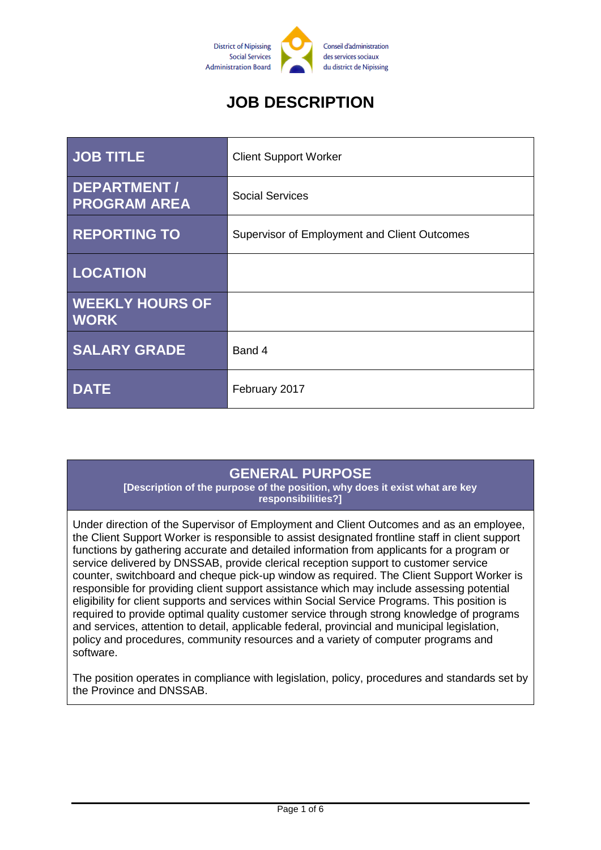

# **JOB DESCRIPTION**

| <b>JOB TITLE</b>                          | <b>Client Support Worker</b>                 |
|-------------------------------------------|----------------------------------------------|
| <b>DEPARTMENT/</b><br><b>PROGRAM AREA</b> | <b>Social Services</b>                       |
| <b>REPORTING TO</b>                       | Supervisor of Employment and Client Outcomes |
| <b>LOCATION</b>                           |                                              |
| <b>WEEKLY HOURS OF</b><br><b>WORK</b>     |                                              |
| <b>SALARY GRADE</b>                       | Band 4                                       |
| <b>DATE</b>                               | February 2017                                |

#### **GENERAL PURPOSE**

**[Description of the purpose of the position, why does it exist what are key responsibilities?]**

Under direction of the Supervisor of Employment and Client Outcomes and as an employee, the Client Support Worker is responsible to assist designated frontline staff in client support functions by gathering accurate and detailed information from applicants for a program or service delivered by DNSSAB, provide clerical reception support to customer service counter, switchboard and cheque pick-up window as required. The Client Support Worker is responsible for providing client support assistance which may include assessing potential eligibility for client supports and services within Social Service Programs. This position is required to provide optimal quality customer service through strong knowledge of programs and services, attention to detail, applicable federal, provincial and municipal legislation, policy and procedures, community resources and a variety of computer programs and software.

The position operates in compliance with legislation, policy, procedures and standards set by the Province and DNSSAB.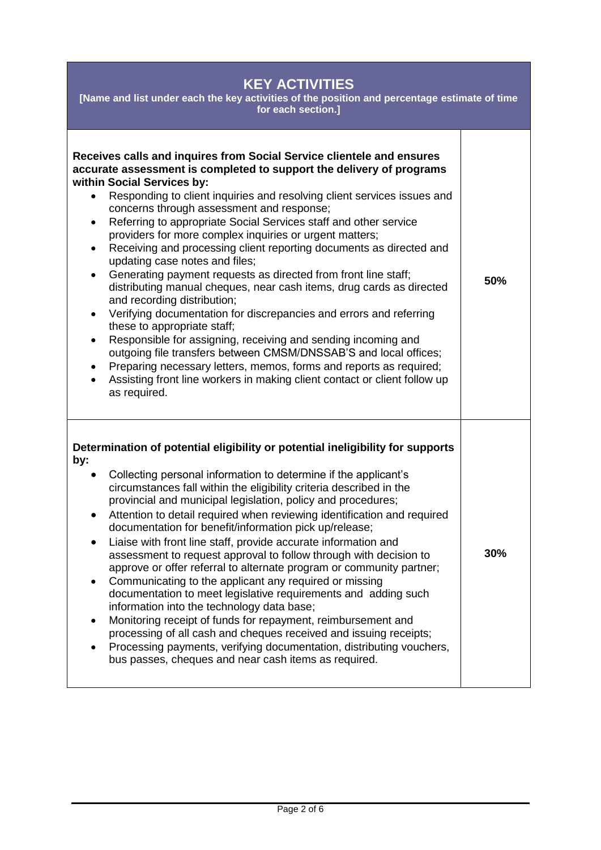### **KEY ACTIVITIES**

**[Name and list under each the key activities of the position and percentage estimate of time for each section.]**

| Receives calls and inquires from Social Service clientele and ensures<br>accurate assessment is completed to support the delivery of programs<br>within Social Services by:<br>Responding to client inquiries and resolving client services issues and<br>$\bullet$<br>concerns through assessment and response;<br>Referring to appropriate Social Services staff and other service<br>$\bullet$<br>providers for more complex inquiries or urgent matters;<br>Receiving and processing client reporting documents as directed and<br>$\bullet$<br>updating case notes and files;<br>Generating payment requests as directed from front line staff;<br>$\bullet$<br>distributing manual cheques, near cash items, drug cards as directed<br>and recording distribution;<br>Verifying documentation for discrepancies and errors and referring<br>$\bullet$<br>these to appropriate staff;<br>Responsible for assigning, receiving and sending incoming and<br>$\bullet$<br>outgoing file transfers between CMSM/DNSSAB'S and local offices;<br>Preparing necessary letters, memos, forms and reports as required;<br>٠<br>Assisting front line workers in making client contact or client follow up<br>as required. | 50% |
|----------------------------------------------------------------------------------------------------------------------------------------------------------------------------------------------------------------------------------------------------------------------------------------------------------------------------------------------------------------------------------------------------------------------------------------------------------------------------------------------------------------------------------------------------------------------------------------------------------------------------------------------------------------------------------------------------------------------------------------------------------------------------------------------------------------------------------------------------------------------------------------------------------------------------------------------------------------------------------------------------------------------------------------------------------------------------------------------------------------------------------------------------------------------------------------------------------------------|-----|
| Determination of potential eligibility or potential ineligibility for supports<br>by:<br>Collecting personal information to determine if the applicant's<br>circumstances fall within the eligibility criteria described in the<br>provincial and municipal legislation, policy and procedures;<br>Attention to detail required when reviewing identification and required<br>$\bullet$<br>documentation for benefit/information pick up/release;<br>Liaise with front line staff, provide accurate information and<br>$\bullet$<br>assessment to request approval to follow through with decision to<br>approve or offer referral to alternate program or community partner;<br>Communicating to the applicant any required or missing<br>documentation to meet legislative requirements and adding such<br>information into the technology data base;<br>Monitoring receipt of funds for repayment, reimbursement and<br>processing of all cash and cheques received and issuing receipts;<br>Processing payments, verifying documentation, distributing vouchers,<br>bus passes, cheques and near cash items as required.                                                                                         |     |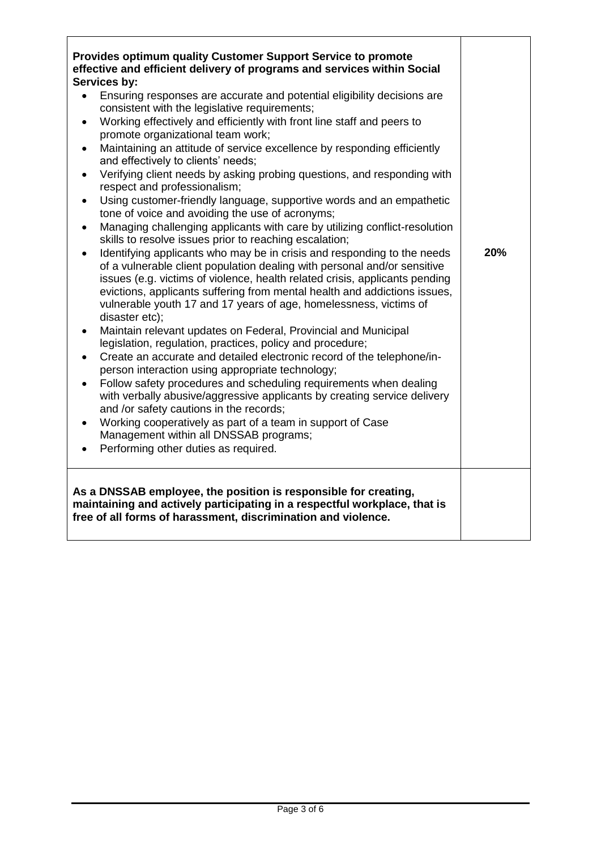| <b>Provides optimum quality Customer Support Service to promote</b><br>effective and efficient delivery of programs and services within Social<br>Services by:<br>Ensuring responses are accurate and potential eligibility decisions are<br>$\bullet$<br>consistent with the legislative requirements;<br>Working effectively and efficiently with front line staff and peers to<br>$\bullet$<br>promote organizational team work;<br>Maintaining an attitude of service excellence by responding efficiently<br>$\bullet$<br>and effectively to clients' needs;<br>Verifying client needs by asking probing questions, and responding with<br>$\bullet$<br>respect and professionalism;<br>Using customer-friendly language, supportive words and an empathetic<br>$\bullet$<br>tone of voice and avoiding the use of acronyms;<br>Managing challenging applicants with care by utilizing conflict-resolution<br>$\bullet$<br>skills to resolve issues prior to reaching escalation;<br>Identifying applicants who may be in crisis and responding to the needs<br>of a vulnerable client population dealing with personal and/or sensitive<br>issues (e.g. victims of violence, health related crisis, applicants pending<br>evictions, applicants suffering from mental health and addictions issues,<br>vulnerable youth 17 and 17 years of age, homelessness, victims of<br>disaster etc);<br>Maintain relevant updates on Federal, Provincial and Municipal<br>legislation, regulation, practices, policy and procedure;<br>Create an accurate and detailed electronic record of the telephone/in-<br>person interaction using appropriate technology;<br>Follow safety procedures and scheduling requirements when dealing<br>$\bullet$<br>with verbally abusive/aggressive applicants by creating service delivery<br>and /or safety cautions in the records;<br>Working cooperatively as part of a team in support of Case<br>Management within all DNSSAB programs;<br>Performing other duties as required. | 20% |
|------------------------------------------------------------------------------------------------------------------------------------------------------------------------------------------------------------------------------------------------------------------------------------------------------------------------------------------------------------------------------------------------------------------------------------------------------------------------------------------------------------------------------------------------------------------------------------------------------------------------------------------------------------------------------------------------------------------------------------------------------------------------------------------------------------------------------------------------------------------------------------------------------------------------------------------------------------------------------------------------------------------------------------------------------------------------------------------------------------------------------------------------------------------------------------------------------------------------------------------------------------------------------------------------------------------------------------------------------------------------------------------------------------------------------------------------------------------------------------------------------------------------------------------------------------------------------------------------------------------------------------------------------------------------------------------------------------------------------------------------------------------------------------------------------------------------------------------------------------------------------------------------------------------------------------------------------------------------------------------------------------------------|-----|
| As a DNSSAB employee, the position is responsible for creating,<br>maintaining and actively participating in a respectful workplace, that is<br>free of all forms of harassment, discrimination and violence.                                                                                                                                                                                                                                                                                                                                                                                                                                                                                                                                                                                                                                                                                                                                                                                                                                                                                                                                                                                                                                                                                                                                                                                                                                                                                                                                                                                                                                                                                                                                                                                                                                                                                                                                                                                                          |     |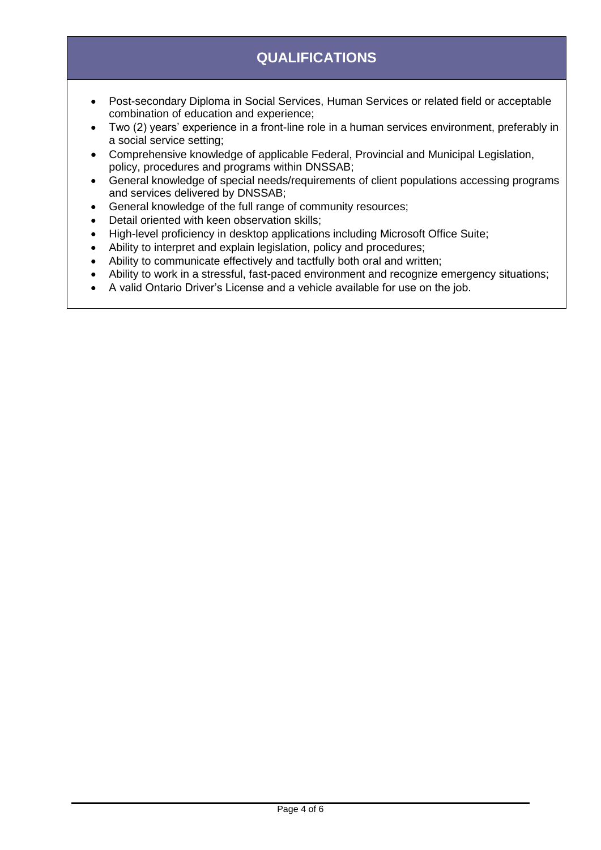# **QUALIFICATIONS**

- Post-secondary Diploma in Social Services, Human Services or related field or acceptable combination of education and experience;
- Two (2) years' experience in a front-line role in a human services environment, preferably in a social service setting;
- Comprehensive knowledge of applicable Federal, Provincial and Municipal Legislation, policy, procedures and programs within DNSSAB;
- General knowledge of special needs/requirements of client populations accessing programs and services delivered by DNSSAB;
- General knowledge of the full range of community resources;
- Detail oriented with keen observation skills;
- High-level proficiency in desktop applications including Microsoft Office Suite;
- Ability to interpret and explain legislation, policy and procedures;
- Ability to communicate effectively and tactfully both oral and written;
- Ability to work in a stressful, fast-paced environment and recognize emergency situations;
- A valid Ontario Driver's License and a vehicle available for use on the job.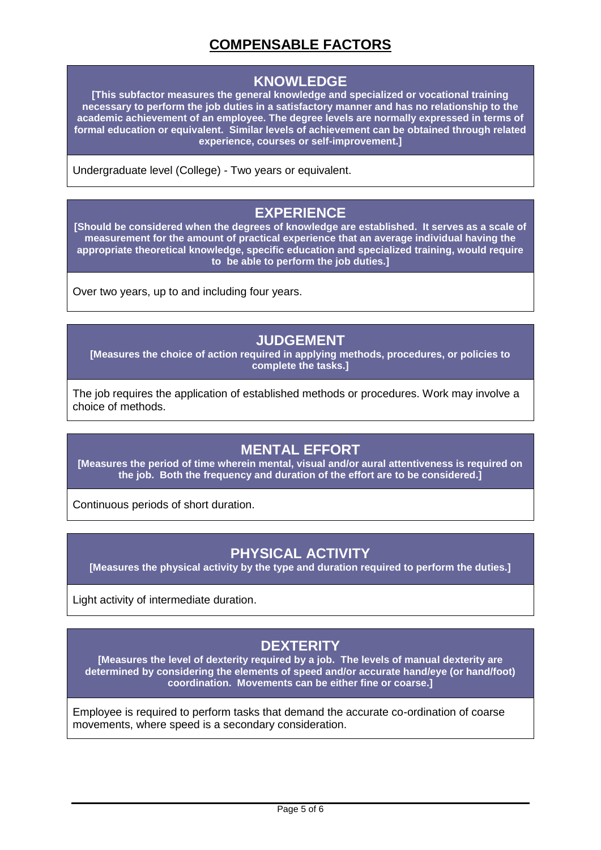## **COMPENSABLE FACTORS**

#### **KNOWLEDGE**

**[This subfactor measures the general knowledge and specialized or vocational training necessary to perform the job duties in a satisfactory manner and has no relationship to the academic achievement of an employee. The degree levels are normally expressed in terms of formal education or equivalent. Similar levels of achievement can be obtained through related experience, courses or self-improvement.]**

Undergraduate level (College) - Two years or equivalent.

#### **EXPERIENCE**

**[Should be considered when the degrees of knowledge are established. It serves as a scale of measurement for the amount of practical experience that an average individual having the appropriate theoretical knowledge, specific education and specialized training, would require to be able to perform the job duties.]**

Over two years, up to and including four years.

### **JUDGEMENT**

**[Measures the choice of action required in applying methods, procedures, or policies to complete the tasks.]**

The job requires the application of established methods or procedures. Work may involve a choice of methods.

#### **MENTAL EFFORT**

**[Measures the period of time wherein mental, visual and/or aural attentiveness is required on the job. Both the frequency and duration of the effort are to be considered.]**

Continuous periods of short duration.

#### **PHYSICAL ACTIVITY**

**[Measures the physical activity by the type and duration required to perform the duties.]**

Light activity of intermediate duration.

#### **DEXTERITY**

**[Measures the level of dexterity required by a job. The levels of manual dexterity are determined by considering the elements of speed and/or accurate hand/eye (or hand/foot) coordination. Movements can be either fine or coarse.]**

Employee is required to perform tasks that demand the accurate co-ordination of coarse movements, where speed is a secondary consideration.